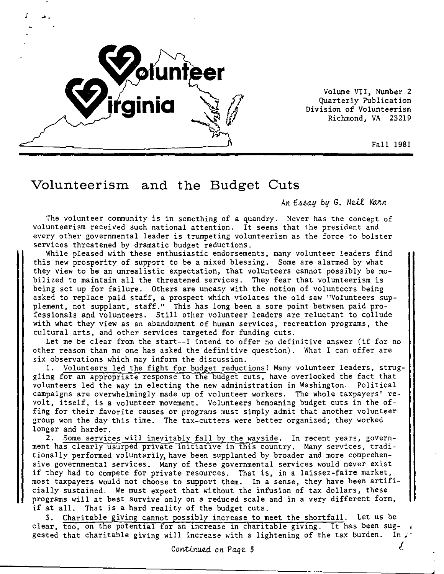

Volume VII, Number 2 Quarterly Publication Division of Volunteerism Richmond, VA 23219

Fall 1981

## **Volunteerism and the Budget Cuts**

An Essay by G. Neil Karn

7he volunteer community is in something of a quandry. Never has the concept of volunteerism received such national attention. It seems that the president and every other governmental leader is trumpeting volunteerism as the force to bolster services threatened by dramatic budget reductions.

While pleased with these enthusiastic endorsements, many volunteer leaders find this new prosperity of support to be a mixed blessing. Some are alarmed by what they view to be an unrealistic expectation, that volunteers cannot possibly be mobilized to maintain all the threatened services. They fear that volunteerism is being set up for failure. Others are uneasy with the notion of volunteers being asked to replace paid staff, a prospect which violates the old saw "Volunteers supplement, not supplant, staff." This has long been a sore point between paid professionals and volunteers. Still other volunteer leaders are reluctant to collude with what they view as an abandonment of human services, recreation programs, the cultural arts, and other services targeted for funding cuts.

Let me be clear from the start--I intend to offer no definitive answer (if for no other reason than no one has asked the definitive question). What I can offer are six observations which may inform the discussion.

1. Volunteers led the fight for budget reductions! Many volunteer leaders, struggling for an appropriate response to the budget cuts, have overlooked the fact that volunteers led the way in electing the new administration in Washington. Political campaigns are overwhelmingly made up of volunteer workers. The whole taxpayers' revolt, itself, is a volunteer movement. Volunteers bemoaning budget cuts in the offing for their favorite causes or programs must simply admit that another volunteer group won the day this time. The tax-cutters were better organized; they worked longer and harder.

2. Some services will inevitably fall by the wayside. In recent years, government has clearly usurped private initiative in this country. Many services, traditionally performed voluntarily, have been supplanted by broader and more comprehensive governmental services. Many of these governmental services would never exist if they had to compete for private resources. That is, in a laissez-faire market, most taxpayers would not choose to support them. In a sense, they have been artificially sustained. We must expect that without the infusion of tax dollars, these programs will at best survive only on a reduced scale and in a very different form, if at all. That is a hard reality of the budget cuts.

3. Charitable giving cannot possibly increase to meet the shortfall. Let us be clear, too, on the potential for an increase in charitable giving. It has been suggested that charitable giving will increase with a lightening of the tax burden. In  $\chi$